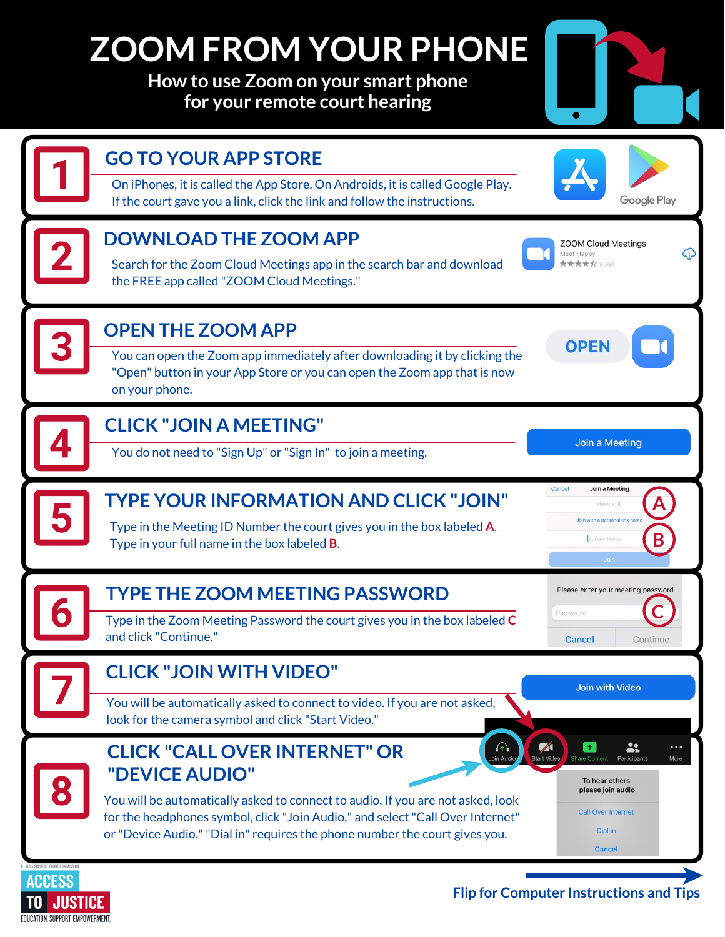## **ZOOM FROM YOUR PHONE**

**How to use Zoom on your smart phone for your remote court hearing** 



JUSTICE EDUCATION, SUPPORT, EMPOWERMENT,